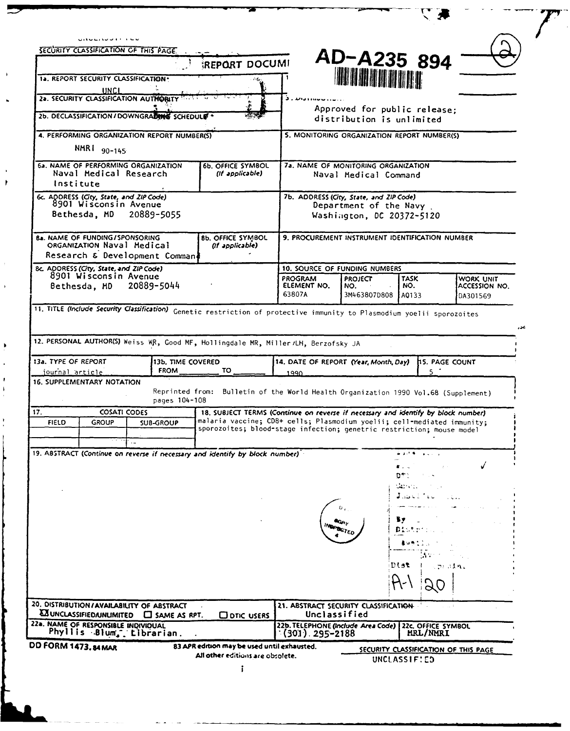| .<br>SECURITY CLASSIFICATION OF THIS PAGE                                                                               |                                                                                                                                                  |
|-------------------------------------------------------------------------------------------------------------------------|--------------------------------------------------------------------------------------------------------------------------------------------------|
| REPORT DOCUMI                                                                                                           | AD-A235 894                                                                                                                                      |
| 1a. REPORT SECURITY CLASSIFICATION-                                                                                     | <b>THE HEATHER AND AND ALL AND AND ARTICLE AND READ</b>                                                                                          |
| UNCL<br>2a. SECURITY CLASSIFICATION AUTHORITY 1977                                                                      |                                                                                                                                                  |
| 2b. DECLASSIFICATION / DOWNGRADING SCHEDULE                                                                             | Approved for public release:<br>distribution is unlimited                                                                                        |
| 4. PERFORMING ORGANIZATION REPORT NUMBER(S)                                                                             | 5. MONITORING ORGANIZATION REPORT NUMBER(S)                                                                                                      |
| NMR1 90-145                                                                                                             |                                                                                                                                                  |
| 6a. NAME OF PERFORMING ORGANIZATION<br>6b. OFFICE SYMBOL<br>Naval Medical Research<br>(If applicable)                   | 7a. NAME OF MONITORING ORGANIZATION<br>Naval Medical Command                                                                                     |
| Institute                                                                                                               |                                                                                                                                                  |
| 6c. ADDRESS (City, State, and ZIP Code)<br>8901 Wiscons in Avenue                                                       | 7b. ADDRESS (City, State, and ZIP Code)<br>Department of the Navy                                                                                |
| Bethesda, MD<br>20889-5055                                                                                              | Washington, DC 20372-5120                                                                                                                        |
| <b>8a. NAME OF FUNDING/SPONSORING</b><br><b>8b. OFFICE SYMBOL</b><br>ORGANIZATION Naval Medical<br>(If applicable)      | 9. PROCUREMENT INSTRUMENT IDENTIFICATION NUMBER                                                                                                  |
| Research & Development Comman!                                                                                          |                                                                                                                                                  |
| Bc, ADDRESS (City, State, and ZIP Code)<br>8901 Wisconsin Avenue                                                        | 10. SOURCE OF FUNDING NUMBERS                                                                                                                    |
| 20889-5044<br>Bethesda, MD                                                                                              | <b>TASK</b><br>WORK UNIT<br>PROGRAM<br>PROJECT<br>ELEMENT NO.<br>ACCESSION NO.<br>NO.<br>NO.<br>63807A                                           |
|                                                                                                                         | 3M463807D808<br>A0133<br>DA301569                                                                                                                |
| 11. TITLE (Include Security Classification) Genetic restriction of protective immunity to Plasmodium yoelii sporozoites | عدء                                                                                                                                              |
| 12. PERSONAL AUTHOR(S) Weiss WR, Good MF, Hollingdale MR, Miller /LH, Berzofsky JA                                      |                                                                                                                                                  |
| 13a. TYPE OF REPORT<br>13b, TIME COVERED                                                                                | 14. DATE OF REPORT (Year, Month, Day)<br><b>15. PAGE COUNT</b>                                                                                   |
| <b>FROM</b><br>TO<br>journal article                                                                                    | $5^{\circ}$<br>1990                                                                                                                              |
| <b>16. SUPPLEMENTARY NOTATION</b>                                                                                       | Reprinted from: Bulletin of the World Health Organization 1990 Vol.68 (Supplement)                                                               |
| pages 104-108<br>17.<br><b>COSATI CODES</b>                                                                             | 18. SUBJECT TERMS (Continue on reverse if necessary and identify by block number)                                                                |
| <b>FIELD</b><br><b>GROUP</b><br><b>SUB-GROUP</b>                                                                        | malaria vaccine; CD8+ cells; Plasmodium yoelii; cell-mediated immunity;<br>sporozoites; blood-stage infection; genetric restriction; mouse model |
|                                                                                                                         |                                                                                                                                                  |
| 19. ABSTRACT (Continue on reverse if necessary and identify by block number)                                            | والمتوافقة الأواقية                                                                                                                              |
|                                                                                                                         | DT 1                                                                                                                                             |
|                                                                                                                         | المتحققات<br>ن د کارنده هندا                                                                                                                     |
|                                                                                                                         |                                                                                                                                                  |
|                                                                                                                         |                                                                                                                                                  |
|                                                                                                                         |                                                                                                                                                  |
|                                                                                                                         |                                                                                                                                                  |
|                                                                                                                         | Dist<br>cznaka.                                                                                                                                  |
|                                                                                                                         |                                                                                                                                                  |
| 20. DISTRIBUTION/AVAILABILITY OF ABSTRACT                                                                               | 21. ABSTRACT SECURITY CLASSIFICATION                                                                                                             |
| <b>AZ UNCLASSIFIED/UNLIMITED LI SAME AS RPT.</b><br>ODTIC USERS<br>22a. NAME OF RESPONSIBLE INDIVIDUAL                  | Unclassified<br>22b. TELEPHONE (Include Area Code) 22c. OFFICE SYMBOL                                                                            |
| Phyllis Blum, tibrarian.<br>DD FORM 1473.84 MAR<br>83 APR edition may be used until exhausted.                          | MRL/NMRI<br>$(301)$ . 295–2188                                                                                                                   |
| All other editions are obsolete.                                                                                        | SECURITY CLASSIFICATION OF THIS PAGE<br>UNCLASSIF:ED                                                                                             |
| ī                                                                                                                       |                                                                                                                                                  |

 $\overline{r}$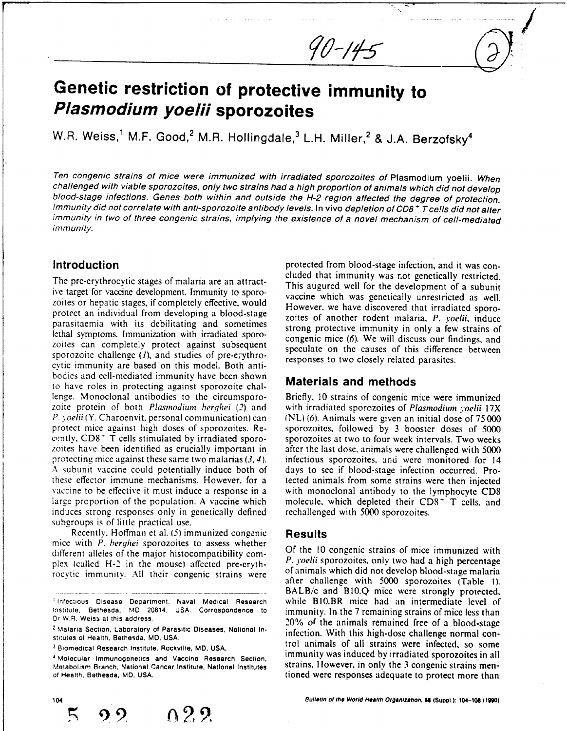# **Genetic restriction of protective immunity to Plasmodium yoelii sporozoites**

W.R. Weiss,<sup>1</sup> M.F. Good,<sup>2</sup> M.R. Hollingdale,<sup>3</sup> L.H. Miller,<sup>2</sup> & J.A. Berzofsky<sup>4</sup>

Ten congenic strains of mice were immunized with irradiated sporozoites of Plasmodium yoelii. When challenged with viable sporozoites, only two strains had a high proportion of animals which did not develop blood-stage infections. Genes both within and outside the H-2 region affected the degree of protection.<br>Immunity did not correlate with anti-sporozoite antibody levels. In vivo depletion of CD8+T cells did not alter immunity in two of three congenic strains, implying the existence of a novel mechanism of cell-mediated immunity.

ive target for vaccine development. Immunity to sporo- vaccine which was genetically unrestricted as well. zoites or hepatic stages, if completely effective, would<br>However, we have discovered that irradiated sporoprotect an individual from developing a blood-stage zoites of another rodent malaria, P. *yoelii,* induce parasitaemia with its debilitating and sometimes strong protective immunity in only a few strains of lethal symptoms. Immunization with irradiated sporo-<br>congenic mice (6). We will discuss our findings, and zoites can completely protect against subsequent speculate on the causes of this difference between sporozoite challenge (*I*), and studies of pre-erythro-<br>responses to two closely related parasites. cvtic immunity are based on this model. Both antibodies and cell-mediated immunity have been shown to have roles in protecting against sporozoite chal- **Materials and methods** lenge. Monoclonal antibodies to the circumsporo- Briefly, 10 strains of congenic mice were immunized zoite protein of both Plasmodium herghei (2) and with irradiated sporozoites of Plasmodium *yoelii* 17X *P. yoelii* (Y. Charoenvit, personal communication) can (NL) (6). Animals were given an initial dose of 75000 protect mice against high doses of sporozoites. Re-<br>
sporozoites, followed by 3 booster doses of 5000 cently, CD8<sup>+</sup> T cells stimulated by irradiated sporo- sporozoites at two to four week intervals. Two weeks zoites have been identified as crucially important in after the last dose, animals were challenged with 5000 protecting mice against these same two malarias  $(3, 4)$ . infectious sporozoites, and were monitored for 14 A subunit vaccine could potentially induce both of days to see if blood-stage infection occurred. Prothese effector immune mechanisms. However, for a tected animals from some strains were then injected vaccine to be effective it must induce a response in a with monoclonal antibody to the lymphocyte CD8 large proportion of the population. A vaccine which molecule, which depleted their  $CD8<sup>+</sup>$  T cells, and induces strong responses only in genetically defined rechallenged with 5000 sporozoites. subgroups is of little practical use.

Recently. Hoffman et al. *(5)* immunized congenic **Results** mice with *P. herghei* sporozoites to assess whether<br>different alleles of the major histocompatibility com. Of the 10 congenic strains of mice immunized with different alleles of the major histocompatibility complex (called H-2 in the mouse) affected pre-eryth-<br>rocytic immunity. All their congenic strains were of animals which did not develop blood-stage malaria

Metabolism **Branch, National Cancer** Institute, **National Institutes** strains. However, in only the 3 congenic strains men-

~ **o29**

**Introduction protected from blood-stage infection**, and it was con-<br> **protected** from blood-stage infection, and it was con-<br> **protected** that immunity was r.ot genetically restricted. The pre-erythrocytic stages of malaria are an attract-<br>This augured well for the development of a subunit

**/\*/**

 $90 - 145$ 

sporozoites, followed by 3 booster doses of 5000 infectious sporozoites, and were monitored for 14 molecule, which depleted their CD8<sup>+</sup> T cells, and

after challenge with 5000 sporozoites (Table **1).** BALB/c and B10.Q mice were strongly protected, **Infectious Disease Department. Naval Medical Research** while BIO.BR mice had an intermediate level of immunity. In the 7 remaining strains of mice less than 2 Malaria Section, Laboratory of Parasitic Diseases, National In- *i0%* of the animals remained free of a blood-stage **Biomedical Research Institute. Rockville, MD, USA.** trol animals of all strains were infected, **so some Molecular Instance Institute, Nocklette, MD, COA. immunity was induced by irradiated sporozoites in all**<br>Metabolism Branch, National Cancer Institute, National Institutes strains. However, in only the 3 congenic strains of **Health, Bethesda,** MD. **USA.** tioned were responses adequate to protect more than



Dr W.R. Weiss at this address.

**Exataria Section. Laboratory of Parasitic Diseases. National in-** infection. With this high-dose challenge normal con-<br>stitutes of Health, Bethesda. MD, USA.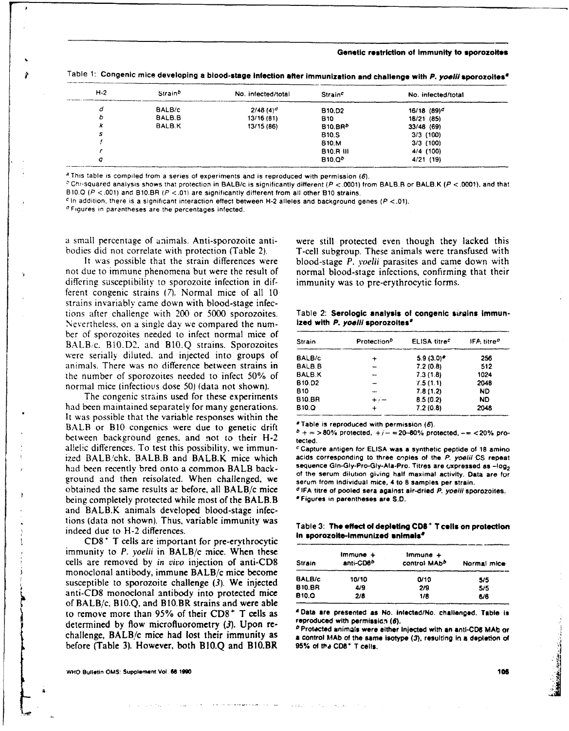### **Genetic restriction of immunity to sporozoites**

| $H-2$ | Strain <sup>b</sup> | No. infected/total | <b>Strain<sup>c</sup></b> | No. infected/total        |  |
|-------|---------------------|--------------------|---------------------------|---------------------------|--|
| d     | BALB/c              | $2/48(4)^d$        | B <sub>10.D2</sub>        | $16/18$ (89) <sup>d</sup> |  |
| b     | BALB.B              | 13/16(81)          | <b>B10</b>                | 18/21 (85)                |  |
| k     | BALB.K              | 13/15 (86)         | 810.BRb                   | 33/48 (69)                |  |
| s     |                     |                    | <b>B10.S</b>              | $3/3$ (100)               |  |
|       |                     |                    | <b>B10.M</b>              | $3/3$ (100)               |  |
|       |                     |                    | <b>B10.R III</b>          | 4/4 (100)                 |  |
| q     |                     |                    | B10,Q <sup>b</sup>        | 4/21 (19)                 |  |

Table **1: Congenic mice developing a blood-stage infection after immunization and challenge with** *P.* **yoelilsporozoltes'**

This table is compiled from a series of experiments and is reproduced with permission *(6).*

Chi-squared analysis shows that protection in BALB/c is significantly different (P **<.0001)** from BALB.R or **BALBK** (P **<.0001).** and that B10.0 (P **<.001)** and 810.BR (P **<.01** are significantly different from all other **B10** strains.

*c* In addition, there is a significant interaction effect between H-2 alleles and background genes (P **<.01).**

**I** Figures in parantheses are the percentages infected.

not due to immune phenomena but were the result of normal blood-stage infections, confirming that their differing susceptibility to sporozoite infection in dif- immunity was to pre-erythrocytic forms. ferent congenic strains (7). Normal mice of all 10 strains invariably came down with blood-stage infections after challence with 200 or **5000** sporozoites. Table 2: Serologic **analysis of congenic sirmlns Immun-**Nevertheless. on a single day we compared the num- ized with **P.** *yoeliI* **sporozoites\*** ber of sporozoites needed to infect normal mice of BALB/c. B10.D2, and B10.Q strains. Sporozoites were serially diluted, and injected into groups of animals. There was no difference between strains in the number of sporozoites needed to infect 50% of normal mice (infectious dose 50) (data not shown).

The congenic strains used for these experiments had been maintained separately for many generations. It was possible that the variable responses within the<br>BALB or B10 congenies were due to genetic drift<br> $\binom{a}{b}$   $\binom{b}{c}$   $\binom{c}{c}$  and  $\binom{d}{c}$   $\binom{d}{c}$   $\binom{d}{c}$   $\binom{d}{c}$   $\binom{d}{c}$   $\binom{d}{c}$   $\binom{d}{c}$   $\binom$ between background genes, and not to their  $H-2$  tected. al!elic differences. To test this possibility, we immun- *c* **Capture antigen for ELISA was a synthetic peptide of 18 amino** ized BALB/chk. BALB.B and BALB.K mice which acids corresponding to three copies of **the** P. yoeli **CS** repeat had been recently bred onto a common BALB back-<br>ground and then reisolated. When challenged, we serum findividual mice, 4 to 8 samples per strain. obtained the same results ar before, all BALB/c mice **dIFA** titre of pooled **sera against** air-dried *P.* yoeill sporozoites. being completely protected while most of the BALB.B **\*Figures in parentheses are S.D.** and BALB.K animals developed blood-stage infections (data not shown). Thus, variable immunity was indeed due to H-2 differences.

**CD8** T cells are important for pre-erythrocytic immunity to P. yoelii in BALB/c mice. When these cells are removed by in vivo injection of anti-CD8 monoclonal antibody, immune BALB/c mice become susceptible to sporozoite challenge (3). We injected anti-CD8 monoclonal antibody into protected mice **610.0 2/8 1/8 6/6** of BALB/c, BIO.Q, and B10.BR strains and were able to remove more than 95% of their  $CD8^+$  T cells as  $\overline{ }$  and are presented as No. intected/No. challenged. Table is determined by flow microfluorometry (3). Upon re-<br> $\overline{ }$  Protected animals were either injected with a challenge, BALB/c mice had lost their immunity as a control MAb of the same isotype (3), resulting in a depletion of before (Table 3). However, both B10.Q and B10.BR 95% of the CD8<sup>+</sup> T cells.

a small percentage of animals. Anti-sporozoite anti- were still protected even though they lacked this bodies did not correlate with protection (Table 2). T-cell subgroup. These animals were transfused with It was possible that the strain differences were blood-stage *P. yoelii* parasites and came down with

| Strain             | Protection <sup>2</sup> | ELISA titre <sup>c</sup> | IFA titre <sup>o</sup> |  |
|--------------------|-------------------------|--------------------------|------------------------|--|
| BALB/c             |                         | $5.9(3.0)$ *             | 256                    |  |
| BALB.B             |                         | 7.2(0.8)                 | 512                    |  |
| <b>BALB.K</b>      |                         | 7.3(1.8)                 | 1024                   |  |
| B <sub>10.D2</sub> |                         | 7.5(1.1)                 | 2048                   |  |
| 810                |                         | 7.8(1.2)                 | ND.                    |  |
| 810.BR             | $+ \iota -$             | 8.5(0.2)                 | ND                     |  |
| <b>B10.Q</b>       |                         | 7.2(0.8)                 | 2048                   |  |

Table 3: The effect of depleting CD8<sup>+</sup> T cells on protection<br>in sporozoite-immunized snimals<sup>e</sup>

| <b>Strain</b> | $Immune +$<br>anti-CD8 <sup>b</sup> | Immune +<br>control MAbb | Normal mice |
|---------------|-------------------------------------|--------------------------|-------------|
| BALB/c        | 10/10                               | 0/10                     | 5/5         |
| <b>B10.BR</b> | 4/9                                 | 2/9                      | 5/5         |
| <b>B10.Q</b>  | 2/8                                 | 1/8                      | 6/6         |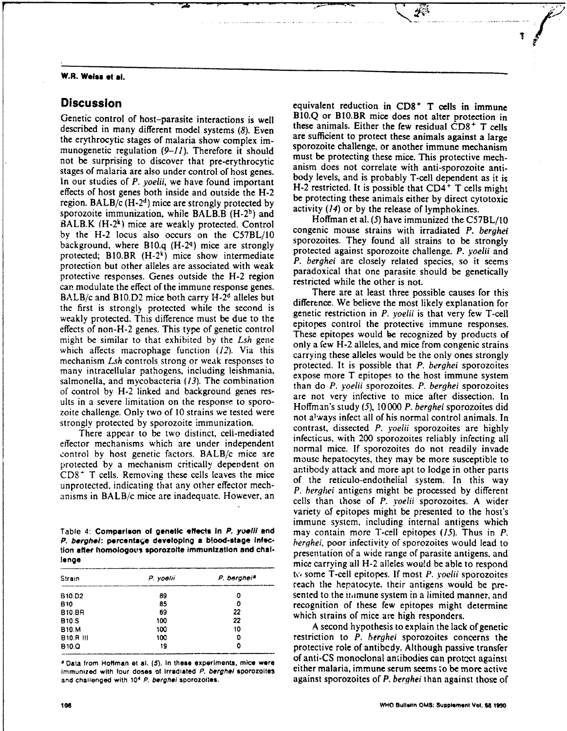## **W.R. Weiss t al.**

described in many different model systems (8). Even these animals. Either the lew residual CD8' **T** cells<br>the erythrocytic stages of malaria show complex im are sufficient to protect these animals against a large the erythrocytic stages of malaria show complex im-<br>munogenetic requision (0, 11). Therefore it should sporozoite challenge, or another immune mechanism munogenetic regulation (9-11). Therefore it should<br>must be protecting these mice. This protective mech-<br>must be protecting these mice. This protective mechnot be surprising to discover that pre-erythrocytic in the protecting these mice. This protective mechanisms of malaria are also under control of host genes.<br>Sure anism does not correlate with anti-sporozoite anti-<br>No our In our studies of P. yoelii, we have found important<br>effects of host genes both inside and outside the H-2<br>region. BALB/c (H-2<sup>4</sup>) mice are strongly protected by<br>sporozoite immunization, while BALB.B (H-2<sup>b</sup>) and<br>particul BALB.K  $(H-2^k)$  mice are weakly protected. Control **of the control** of the strains with irradiated P. berghet by the H-2 locus also occurs on the C57BL/10 congenic mouse strains with irradiated *P. berghei*<br>hackground where B10.6 (H 20) miss are strongly background, where B10.q (H-2q) mice are strongly sporozoites. They found all strains to be strongly<br>protected against sporozoite challenge. P. yoelii and protected; B10.BR (H-2k) mice show intermediate protected against sporozoite challenge. *P. yoelli* and protected; so it seems protection but other alleles are associated with weak . *F. bergher* are closely related species, so it seems . paradoxical that one paradically be genetically protective responses. Genes outside the H-2 region paradoxical that one parasite s<br>restricted while the other is not. can modulate the effect of the immune response genes.<br>There are at least three possible causes for this BALB/c and B10.D2 mice both carry H-2<sup>d</sup> alleles but<br>difference. We believe the most likely explanation for the first is strongly protected while the second is difference. We believe the most likely explanation for genetic restriction in P, you ii is that very few T-cell weakly protected. This difference must be due to the generic restriction in *P. yoelii* is that very few T-cell effects of non-H-2 genes. This type of genetic control effects of non-H-2 genes. This type of generic control These epitopes would be recognized by products of might be similar to that exhibited by the *Lsh* gene column  $\sum_{n=1}^{\infty}$  alleles and mise from congenic strains which affects macrophage function  $(12)$ . Via this only a few H-2 alleles and mice from congenic strains which affects macrophage function  $(12)$ . Via this carrying these alleles would be the only ones strongly mechanism *Lsh* controls strong or weak responses to carrying these alleles would be the only ones strongly many intracellular pathogens, including leishmania,<br>salmonella, and mycobacteria (13). The combination<br>of control by H-2 linked and background genes res-<br>are not very infective to mice after dissection. In ults in a severe limitation on the response to sporo- Hoffman's study (5), 10000 *P. berghei* sporozoites did zoite challenge. Only two of 10 strains we tested were

effector mechanisms which are under independent control by nost generic lactors. BALB/C line are<br>protected by a mechanism critically dependent on<br>CDS<sup>\*</sup> T cells. Removing these cells leaves the mice<br>unprotected, indicating that any other effector mech-<br>of the reticulo-e

| 0  |
|----|
| 0  |
| 22 |
| 22 |
| 10 |
| 0  |
| Ω  |
|    |

immunized with four doses of irradiated P. berghel sporozoites

**Discussion equivalent reduction in CD8<sup>+</sup> T cells in immune** Genetic control of host-parasite interactions is well **BI0.Q or BI0.BR** mice does not alter protection in described in many different model systems (8) Figure these animals. Either the few residual CD8<sup>+</sup> T cells

strongly protected by sporozoite immunization.<br>
The strongly protected by sporozoites are highly<br>
The contrast, dissected *P. yoelii* sporozoites are highly There appear to be two distinct, celi-mediated contrast, dissected *P. yoem* sporozoites are inginy enced incentions which are under independent normal mice. If sporozoites do not readily invade<br>control by host genetic factors. BALB/c mice are a *aP. berghei* antigens might be processed **by** different anisms in BALB/c mice are inadequate. However, an cells than those of *P. yoelii* sporozoites. A wider variety **of** epitopes might be presented to the host's immune system, including internal antigens which Table 4: Comparison of genetic effects in *P. yoelli* and may contain more T-cell epitopes (15). Thus in *P. P. berghel:* **porcenta'e developing a bood-stage** infec- *herqhei,* poor infectivity of sporozoites would lead to **lion after homologot's sporozolte immunization and chal-**<br> **lions** presentation of a wide range of parasite antigens, and<br>
mice carrying all H-2 alleles would be able to respond to some T-cell epitopes. If most *P. yoelii* sporozoites reach the hepatocyte, their antigens would be presented to the immune system in a limited manner, and recognition of these few epitopes might determine which strains of mice are high responders.

**BO.M 100 10** A second hypothesis to explain the lack of genetic **E10.R 11 100 0** restriction to *P. berghei* sporozoites concerns the **810.0 19 0** protective role of antibedy. Although passive transfer **8 Data from Hoffman et al. (5). In these experiments, mice were of anti-CS monoclonal antibodies can protect against<br>immunized with four doses of irradiated** *P* **berabel sporozoites either malaria, immune serum seems to be and challenged** with **<sup>10</sup> 4** *P.* **berghel sporozolles.** against sporozoites of *P. berghei* than against those of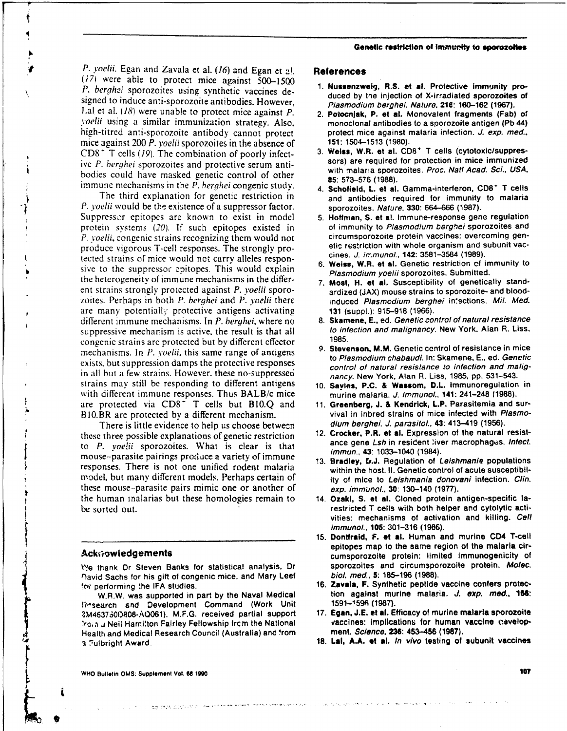*P.* voeli. Egan and Zavala et al. (16) and Egan et **-!. Relerences** *(17* were able to protect mice against **500-1500 1. Nussnzw\*, R.S. et l.** Protective Immunity pro-P. berghai sporozoites using synthetic vaccines de-<br>duced by the injection of X-irradiated sporozoites of signed to induce anti-sporozoite antibodies. However, *Plasmodium berghei. Nature.* **216:160-12 (1967).** L.al et al. (18) were unable to protect mice against *P*. **2. Potocniak, P. et al. Monovalent fragments (Fab) of** *Yoe/ii* using a similar immunizaion strategy. Also, monoclonal antibodies to a sporozoite antigen **(Pb 44)** high-titred anti-sporozoite antibody cannot protect protect mice against malaria infection. *J. exp. med.*. mice against 200 *P. yoelii* sporozoites in the absence of **151:** 1504-1513 (1980).<br>CD8<sup>+</sup> T cells (10) The combination of poorly infect 3. Weiss. W.R. et al. CD8<sup>+</sup> T cells (cytotoxic/suppres-CD8<sup>+</sup> T cells (19). The combination of poorly infect-<br> **3. Weiss, W.R. et al. CD8<sup>+</sup>** T cells (cytotoxic/suppres-<br>
sors) are required for protection in mice immunized ive P. *berghei* sporozoites and protective serum anti- sors) are required for protection in mice immunized bodies could have masked genetic control of other **85**: 573–576 (1988). immune mechanisms in the P. berghei congenic study. 4. **Schofield, L. et al. Gamma-interleron, CD8<sup>+</sup> T cells** 

r

P. *yoelii* would be the existence of a suppressor factor. sporozoites. Nature, 330: 664-666 (1987). Suppressor epitopes are known to exist in model **5.** Hoffman, **S. et al.** Immune-response gene regulation protein systems (20). If such epitopes existed in of immunity to Plasmodium berghei sporozoites and P. voelii, congenic strains recognizing them would not circumsporozoite protein vaccines: overcoming gen-<br>produce vigorous T-cell responses. The strongly pro-<br>etic restriction with whole organism and subunit vacproduce vigorous T-cell responses. The strongly pro-<br>tected strains of mice would not carry alleles responsive cines. J. in:munol., **142**: 3581–3584 (1989). tected strains of mice would not carry alleles responsive to the suppressor epitopes. This would explain the heterogeneity of immune mechanisms in the differ- **7.** Most, H. et al. Susceptibility of genetically standent strains strongly protected against P. yoelii sporo-<br>zoites. Perhaps in both P. berghei and P. yoelii there **and and and and and allowing** infections. Mil. Med. zoites. Perhaps in both P. berghei and P. voelii there are many potentially protective antigens activating **131** (suppl.): **915-918 (1966).** different immune mechanisms. In P. berghei, where no **8. Skamene, E.,** ed. Genetic control of natural resistance<br>suppressive mechanism is active, the result is that all to infection and malignancy. New York, Alan R. Liss. suppressive mechanism is active, the result is that all  $t_0$  inferences and malignancy.  $t_0$  and  $t_0$  and  $t_0$  and  $t_0$  and  $t_0$  and  $t_0$  and  $t_0$  and  $t_0$  and  $t_0$  and  $t_0$  and  $t_0$  and  $t_0$  and  $t_0$  and  $t$ congenic strains are protected but by different effector 1985.<br>maghanisms, In B, unalit, this came range of antigens 9. Stevenson, M.M. Genetic centrol of resistance in mice mechanisms. In P. yoelii, this same range of antigens<br>exists, but suppression damps the protective responses<br>in all but a fametain Manual Manual of the Manual Control of natural resistance to infection and maligin all but a few strains. However. these no-suppressed nancy. New York, Alan R. Liss, 1985, pp. 531-543. strains may still be responding to different antigens **10. Savles, P.C. & Wassom, D.L.** Immunoregulation in with different immune responses. Thus BALB/c mice murine malaria. **J.** immunol., **141: 241-248 (1988).** are protected via CD8<sup>-</sup> T cells but B10.Q and **11. Greenberg, J. & Kendrick, L.P.** Parasitemia and sur-

There is little evidence to help us choose between dium berghei. **J.** parasitol., **43: 413-419 (1956).** these three possible explanations of genetic restriction 12. Crocker, P.R. **at al.** Expression of the natural resistto P. *yoelii* sporozoites. What is clear is that ance gene Lsn in resident ive<br>mouse parasite pairings and iso a variation firm was immun. 43: 1033–1040 (1984). mouse-parasite pairings produce a variety of immune immun., 43: 1033-1040 (1904). **13. Bradley, D.J. Regulation of** Leishmania populations responses. There is not one unified rodent malaria within the host. **II.** Genetic control of acute susceptibilmodel, but many different models. Perhaps certain of ity of mice to Leishmania donovani infection. Clin. these mouse-parasite pairs mimic one or another of exp. immunol., **30:** 130–140 (1977).<br>the human inalarias but these homologies remain to 14. Ozakl, **S. et al.** Cloned protein antigen-specific la**be sorted out.** The sorted out. The sorted T cells with both helper and cytolytic acti-

Oavid Sachs for his gift of congenic mice, and Mary Leef biol. med., **5:185-196 (1988).** for performing the IFA studies. **16. Zavala, F. Synthetic peptide vaccine confers protec-**

**Research and Development Command (Work Unit IM4637S0D808-A061). M.F.G.** received partial support **17. Egan, J.E. et al.** Efficacy of murine malaria sporozolte **irold a Neil Harniton Fairley Fellowship from the National vaccines: implications for human <br>
<b>Beath and Medical Besearch Council (Australia) and from ment.** *Science***, 236: 453–456 (1987).** Health and Medical Research Council (Australia) and from **a** 7ulbright Award. **18.** Lal, **A.A. at al.** In vivo testing of subunit vaccines

 $\frac{d^2\omega}{d\omega^2} \frac{\partial^2\phi}{\partial \omega^2} \frac{\partial^2\phi}{\partial \omega^2} \frac{\partial^2\phi}{\partial \omega^2} \frac{\partial^2\phi}{\partial \omega^2} \frac{\partial^2\phi}{\partial \omega^2} \frac{\partial^2\phi}{\partial \omega^2} \frac{\partial^2\phi}{\partial \omega^2} \frac{\partial^2\phi}{\partial \omega^2} \frac{\partial^2\phi}{\partial \omega^2} \frac{\partial^2\phi}{\partial \omega^2} \frac{\partial^2\phi}{\partial \omega^2} \frac{\partial^2\phi}{\partial \omega^2} \frac{\partial^2\phi}{\partial \omega$ 

- 
- 
- 
- The third explanation for genetic restriction in and antibodies required for immunity to malaria
	-
	- sitetohed s pso its.This would rrylel on- **6.** Weiss, W.R. **et** al. Genetic restriction **of** immunity to
	-
	-
	-
	-
- BI0.BR are protected by a different mechanism. vival in inbred strains of mice infected with Plasmo-<br>There is little evidence to beln us choose between dium berghei. J. parasitol., 43: 413–419 (1956).
	-
	-
	- vities: mechanisms of activation and killing. Cell immunol., **105: 301-316 (1986).**
- **15. Donifrald,** F. **et al.** Human and murine CD4 T-cell epitopes map to the same region of the malaria cir- **Ack~owledgements** cumsporozoite protein: limited Immunogenicity of We thank Dr Steven Banks for statistical analysis, Dr sporozoites and circumsporozoite protein. Molec.<br>David Sachs for his oift of congenic mice, and Mary Leef biol, med., 5: 185–196 (1988).
	- W.R.W. was supported in part **by** the Naval Medical tion against murine malaria. **J.** exp. *med,* **166:**
		-
		-

**WHO Bulletin OMS: Supplement Vol. W 1990 10?**